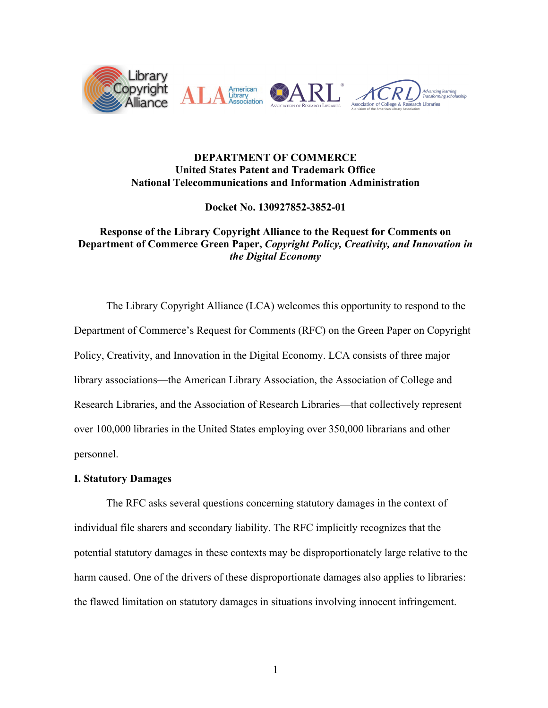

## **DEPARTMENT OF COMMERCE United States Patent and Trademark Office National Telecommunications and Information Administration**

**Docket No. 130927852-3852-01**

# **Response of the Library Copyright Alliance to the Request for Comments on Department of Commerce Green Paper,** *Copyright Policy, Creativity, and Innovation in the Digital Economy*

The Library Copyright Alliance (LCA) welcomes this opportunity to respond to the Department of Commerce's Request for Comments (RFC) on the Green Paper on Copyright Policy, Creativity, and Innovation in the Digital Economy. LCA consists of three major library associations—the American Library Association, the Association of College and Research Libraries, and the Association of Research Libraries—that collectively represent over 100,000 libraries in the United States employing over 350,000 librarians and other personnel.

# **I. Statutory Damages**

The RFC asks several questions concerning statutory damages in the context of individual file sharers and secondary liability. The RFC implicitly recognizes that the potential statutory damages in these contexts may be disproportionately large relative to the harm caused. One of the drivers of these disproportionate damages also applies to libraries: the flawed limitation on statutory damages in situations involving innocent infringement.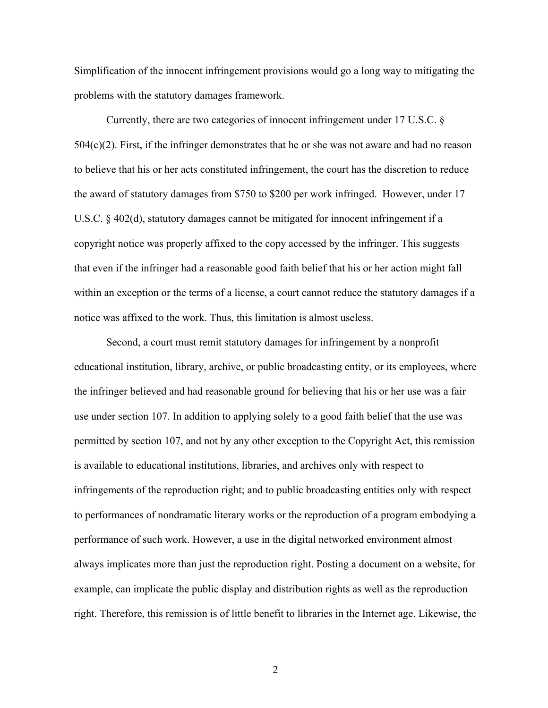Simplification of the innocent infringement provisions would go a long way to mitigating the problems with the statutory damages framework.

Currently, there are two categories of innocent infringement under 17 U.S.C. §  $504(c)(2)$ . First, if the infringer demonstrates that he or she was not aware and had no reason to believe that his or her acts constituted infringement, the court has the discretion to reduce the award of statutory damages from \$750 to \$200 per work infringed. However, under 17 U.S.C. § 402(d), statutory damages cannot be mitigated for innocent infringement if a copyright notice was properly affixed to the copy accessed by the infringer. This suggests that even if the infringer had a reasonable good faith belief that his or her action might fall within an exception or the terms of a license, a court cannot reduce the statutory damages if a notice was affixed to the work. Thus, this limitation is almost useless.

Second, a court must remit statutory damages for infringement by a nonprofit educational institution, library, archive, or public broadcasting entity, or its employees, where the infringer believed and had reasonable ground for believing that his or her use was a fair use under section 107. In addition to applying solely to a good faith belief that the use was permitted by section 107, and not by any other exception to the Copyright Act, this remission is available to educational institutions, libraries, and archives only with respect to infringements of the reproduction right; and to public broadcasting entities only with respect to performances of nondramatic literary works or the reproduction of a program embodying a performance of such work. However, a use in the digital networked environment almost always implicates more than just the reproduction right. Posting a document on a website, for example, can implicate the public display and distribution rights as well as the reproduction right. Therefore, this remission is of little benefit to libraries in the Internet age. Likewise, the

2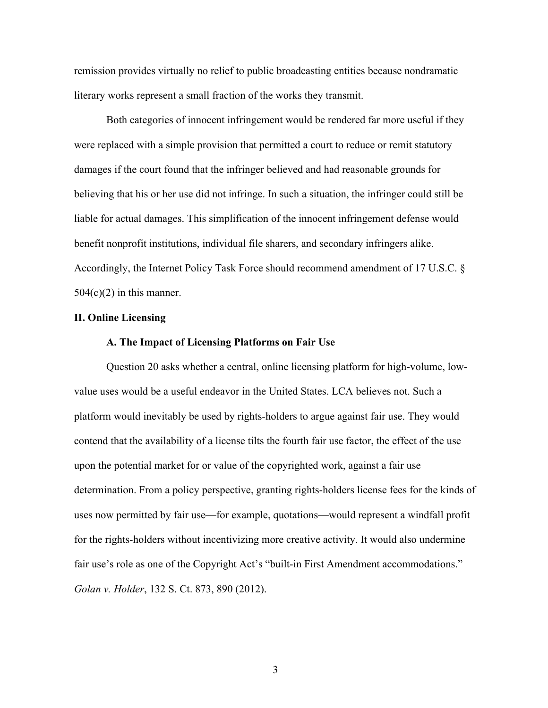remission provides virtually no relief to public broadcasting entities because nondramatic literary works represent a small fraction of the works they transmit.

Both categories of innocent infringement would be rendered far more useful if they were replaced with a simple provision that permitted a court to reduce or remit statutory damages if the court found that the infringer believed and had reasonable grounds for believing that his or her use did not infringe. In such a situation, the infringer could still be liable for actual damages. This simplification of the innocent infringement defense would benefit nonprofit institutions, individual file sharers, and secondary infringers alike. Accordingly, the Internet Policy Task Force should recommend amendment of 17 U.S.C. §  $504(c)(2)$  in this manner.

## **II. Online Licensing**

#### **A. The Impact of Licensing Platforms on Fair Use**

Question 20 asks whether a central, online licensing platform for high-volume, lowvalue uses would be a useful endeavor in the United States. LCA believes not. Such a platform would inevitably be used by rights-holders to argue against fair use. They would contend that the availability of a license tilts the fourth fair use factor, the effect of the use upon the potential market for or value of the copyrighted work, against a fair use determination. From a policy perspective, granting rights-holders license fees for the kinds of uses now permitted by fair use—for example, quotations—would represent a windfall profit for the rights-holders without incentivizing more creative activity. It would also undermine fair use's role as one of the Copyright Act's "built-in First Amendment accommodations." *Golan v. Holder*, 132 S. Ct. 873, 890 (2012).

3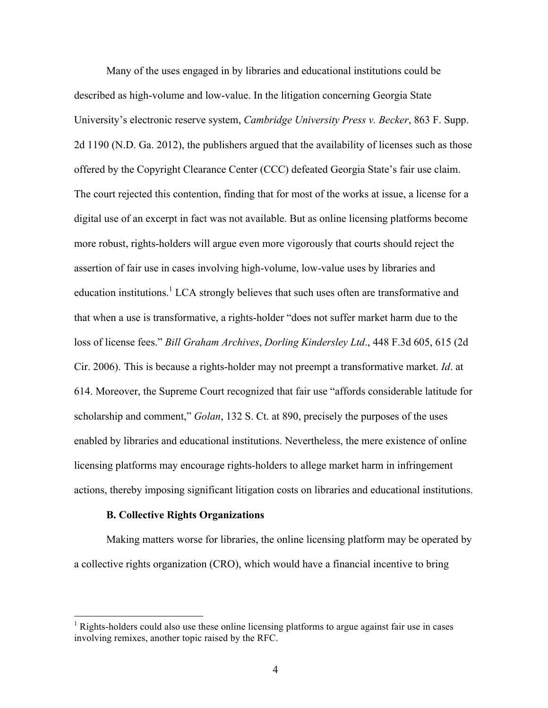Many of the uses engaged in by libraries and educational institutions could be described as high-volume and low-value. In the litigation concerning Georgia State University's electronic reserve system, *Cambridge University Press v. Becker*, 863 F. Supp. 2d 1190 (N.D. Ga. 2012), the publishers argued that the availability of licenses such as those offered by the Copyright Clearance Center (CCC) defeated Georgia State's fair use claim. The court rejected this contention, finding that for most of the works at issue, a license for a digital use of an excerpt in fact was not available. But as online licensing platforms become more robust, rights-holders will argue even more vigorously that courts should reject the assertion of fair use in cases involving high-volume, low-value uses by libraries and education institutions.<sup>1</sup> LCA strongly believes that such uses often are transformative and that when a use is transformative, a rights-holder "does not suffer market harm due to the loss of license fees." *Bill Graham Archives*, *Dorling Kindersley Ltd*., 448 F.3d 605, 615 (2d Cir. 2006). This is because a rights-holder may not preempt a transformative market. *Id*. at 614. Moreover, the Supreme Court recognized that fair use "affords considerable latitude for scholarship and comment," *Golan*, 132 S. Ct. at 890, precisely the purposes of the uses enabled by libraries and educational institutions. Nevertheless, the mere existence of online licensing platforms may encourage rights-holders to allege market harm in infringement actions, thereby imposing significant litigation costs on libraries and educational institutions.

#### **B. Collective Rights Organizations**

Making matters worse for libraries, the online licensing platform may be operated by a collective rights organization (CRO), which would have a financial incentive to bring

 $1$  Rights-holders could also use these online licensing platforms to argue against fair use in cases involving remixes, another topic raised by the RFC.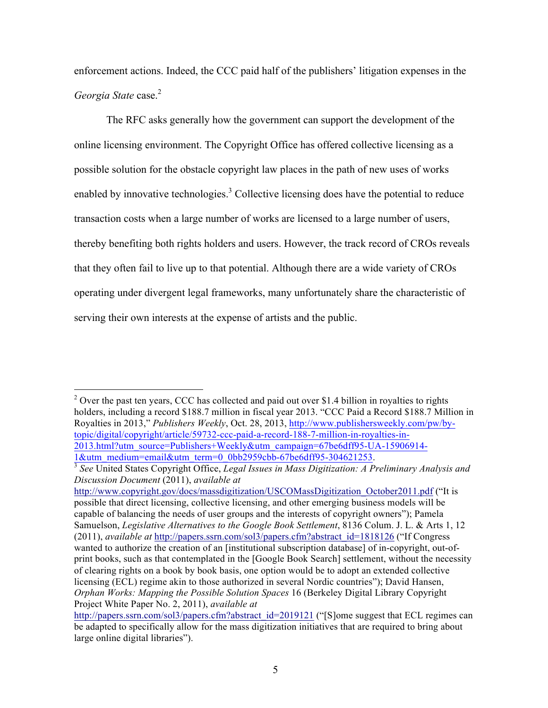enforcement actions. Indeed, the CCC paid half of the publishers' litigation expenses in the *Georgia State* case.<sup>2</sup>

The RFC asks generally how the government can support the development of the online licensing environment. The Copyright Office has offered collective licensing as a possible solution for the obstacle copyright law places in the path of new uses of works enabled by innovative technologies.<sup>3</sup> Collective licensing does have the potential to reduce transaction costs when a large number of works are licensed to a large number of users, thereby benefiting both rights holders and users. However, the track record of CROs reveals that they often fail to live up to that potential. Although there are a wide variety of CROs operating under divergent legal frameworks, many unfortunately share the characteristic of serving their own interests at the expense of artists and the public.

 $2$  Over the past ten years, CCC has collected and paid out over \$1.4 billion in royalties to rights holders, including a record \$188.7 million in fiscal year 2013. "CCC Paid a Record \$188.7 Million in Royalties in 2013," *Publishers Weekly*, Oct. 28, 2013, http://www.publishersweekly.com/pw/bytopic/digital/copyright/article/59732-ccc-paid-a-record-188-7-million-in-royalties-in-2013.html?utm\_source=Publishers+Weekly&utm\_campaign=67be6dff95-UA-15906914-

http://www.copyright.gov/docs/massdigitization/USCOMassDigitization\_October2011.pdf ("It is possible that direct licensing, collective licensing, and other emerging business models will be capable of balancing the needs of user groups and the interests of copyright owners"); Pamela Samuelson, *Legislative Alternatives to the Google Book Settlement*, 8136 Colum. J. L. & Arts 1, 12 (2011), *available at* http://papers.ssrn.com/sol3/papers.cfm?abstract\_id=1818126 ("If Congress wanted to authorize the creation of an [institutional subscription database] of in-copyright, out-ofprint books, such as that contemplated in the [Google Book Search] settlement, without the necessity of clearing rights on a book by book basis, one option would be to adopt an extended collective licensing (ECL) regime akin to those authorized in several Nordic countries"); David Hansen, *Orphan Works: Mapping the Possible Solution Spaces* 16 (Berkeley Digital Library Copyright Project White Paper No. 2, 2011), *available at*

<sup>1&</sup>amp;utm\_medium=email&utm\_term=0\_0bb2959cbb-67be6dff95-304621253. 3 *See* United States Copyright Office, *Legal Issues in Mass Digitization: A Preliminary Analysis and Discussion Document* (2011), *available at*

http://papers.ssrn.com/sol3/papers.cfm?abstract\_id=2019121 ("[S]ome suggest that ECL regimes can be adapted to specifically allow for the mass digitization initiatives that are required to bring about large online digital libraries").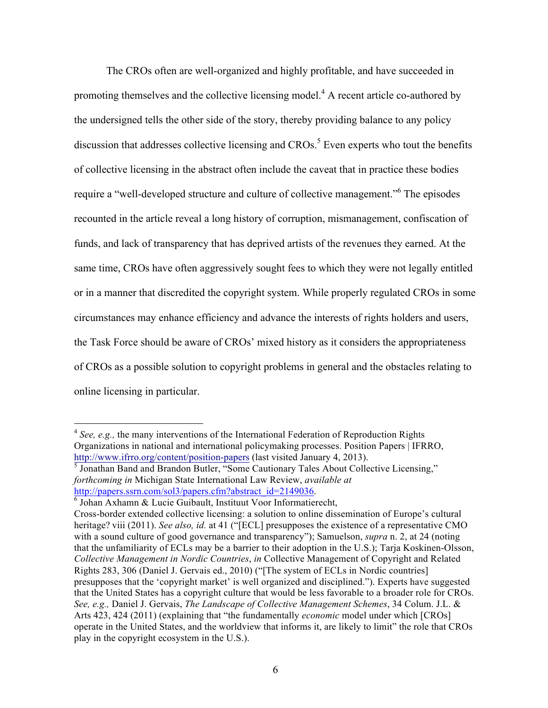The CROs often are well-organized and highly profitable, and have succeeded in promoting themselves and the collective licensing model.4 A recent article co-authored by the undersigned tells the other side of the story, thereby providing balance to any policy discussion that addresses collective licensing and  $CROs$ <sup>5</sup>. Even experts who tout the benefits of collective licensing in the abstract often include the caveat that in practice these bodies require a "well-developed structure and culture of collective management."6 The episodes recounted in the article reveal a long history of corruption, mismanagement, confiscation of funds, and lack of transparency that has deprived artists of the revenues they earned. At the same time, CROs have often aggressively sought fees to which they were not legally entitled or in a manner that discredited the copyright system. While properly regulated CROs in some circumstances may enhance efficiency and advance the interests of rights holders and users, the Task Force should be aware of CROs' mixed history as it considers the appropriateness of CROs as a possible solution to copyright problems in general and the obstacles relating to online licensing in particular.

<sup>5</sup> Jonathan Band and Brandon Butler, "Some Cautionary Tales About Collective Licensing," *forthcoming in* Michigan State International Law Review, *available at* http://papers.ssrn.com/sol3/papers.cfm?abstract\_id=2149036.

<sup>&</sup>lt;sup>4</sup> See, e.g., the many interventions of the International Federation of Reproduction Rights Organizations in national and international policymaking processes. Position Papers | IFRRO, http://www.ifrro.org/content/position-papers (last visited January 4, 2013).

<sup>6</sup> Johan Axhamn & Lucie Guibault, Instituut Voor Informatierecht,

Cross-border extended collective licensing: a solution to online dissemination of Europe's cultural heritage? viii (2011). *See also, id.* at 41 ("[ECL] presupposes the existence of a representative CMO with a sound culture of good governance and transparency"); Samuelson, *supra* n. 2, at 24 (noting that the unfamiliarity of ECLs may be a barrier to their adoption in the U.S.); Tarja Koskinen-Olsson, *Collective Management in Nordic Countries*, *in* Collective Management of Copyright and Related Rights 283, 306 (Daniel J. Gervais ed., 2010) ("[The system of ECLs in Nordic countries] presupposes that the 'copyright market' is well organized and disciplined."). Experts have suggested that the United States has a copyright culture that would be less favorable to a broader role for CROs. *See, e.g.,* Daniel J. Gervais, *The Landscape of Collective Management Schemes*, 34 Colum. J.L. & Arts 423, 424 (2011) (explaining that "the fundamentally *economic* model under which [CROs] operate in the United States, and the worldview that informs it, are likely to limit" the role that CROs play in the copyright ecosystem in the U.S.).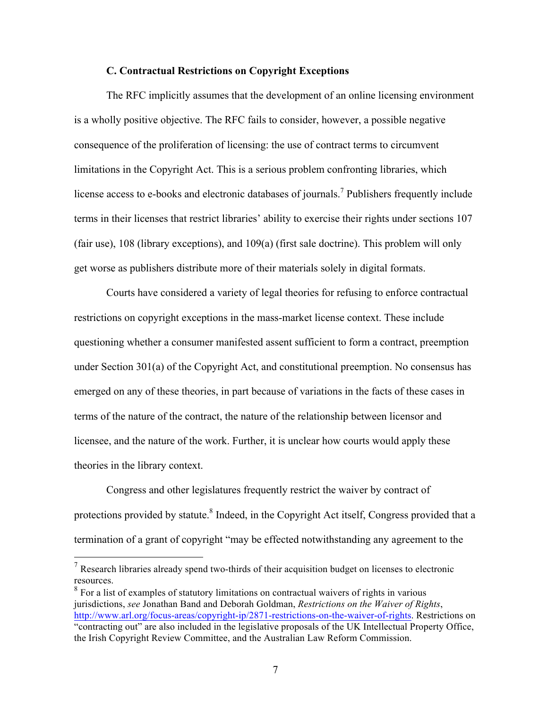### **C. Contractual Restrictions on Copyright Exceptions**

The RFC implicitly assumes that the development of an online licensing environment is a wholly positive objective. The RFC fails to consider, however, a possible negative consequence of the proliferation of licensing: the use of contract terms to circumvent limitations in the Copyright Act. This is a serious problem confronting libraries, which license access to e-books and electronic databases of journals.<sup>7</sup> Publishers frequently include terms in their licenses that restrict libraries' ability to exercise their rights under sections 107 (fair use), 108 (library exceptions), and 109(a) (first sale doctrine). This problem will only get worse as publishers distribute more of their materials solely in digital formats.

Courts have considered a variety of legal theories for refusing to enforce contractual restrictions on copyright exceptions in the mass-market license context. These include questioning whether a consumer manifested assent sufficient to form a contract, preemption under Section 301(a) of the Copyright Act, and constitutional preemption. No consensus has emerged on any of these theories, in part because of variations in the facts of these cases in terms of the nature of the contract, the nature of the relationship between licensor and licensee, and the nature of the work. Further, it is unclear how courts would apply these theories in the library context.

Congress and other legislatures frequently restrict the waiver by contract of protections provided by statute.<sup>8</sup> Indeed, in the Copyright Act itself, Congress provided that a termination of a grant of copyright "may be effected notwithstanding any agreement to the

 $<sup>7</sup>$  Research libraries already spend two-thirds of their acquisition budget on licenses to electronic</sup> resources.

<sup>&</sup>lt;sup>8</sup> For a list of examples of statutory limitations on contractual waivers of rights in various jurisdictions, *see* Jonathan Band and Deborah Goldman, *Restrictions on the Waiver of Rights*, http://www.arl.org/focus-areas/copyright-ip/2871-restrictions-on-the-waiver-of-rights. Restrictions on "contracting out" are also included in the legislative proposals of the UK Intellectual Property Office, the Irish Copyright Review Committee, and the Australian Law Reform Commission.